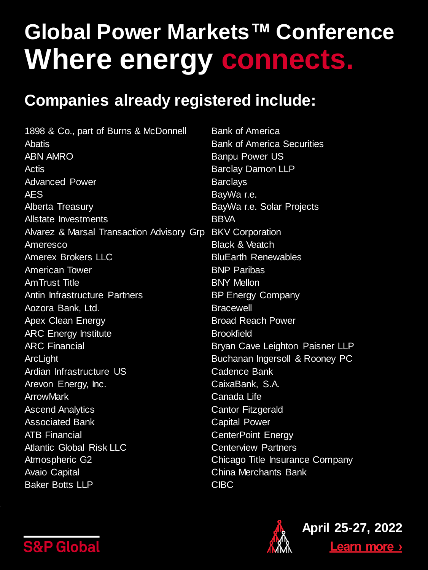#### **Companies already registered include:**

1898 & Co., part of Burns & McDonnell **Abatis** ABN AMRO Actis Advanced Power AES Alberta Treasury Allstate Investments Alvarez & Marsal Transaction Advisory Grp BKV Corporation Ameresco Amerex Brokers LLC American Tower AmTrust Title Antin Infrastructure Partners Aozora Bank, Ltd. Apex Clean Energy ARC Energy Institute ARC Financial ArcLight Ardian Infrastructure US Arevon Energy, Inc. **ArrowMark** Ascend Analytics Associated Bank ATB Financial Atlantic Global Risk LLC Atmospheric G2 Avaio Capital Baker Botts LLP Bank of America Bank of America Securities Banpu Power US Barclay Damon LLP **Barclavs** BayWa r.e. BayWa r.e. Solar Projects **BBVA** Black & Veatch BluEarth Renewables BNP Paribas BNY Mellon BP Energy Company **Bracewell** Broad Reach Power **Brookfield** Bryan Cave Leighton Paisner LLP Buchanan Ingersoll & Rooney PC Cadence Bank CaixaBank, S.A. Canada Life Cantor Fitzgerald Capital Power CenterPoint Energy Centerview Partners Chicago Title Insurance Company China Merchants Bank CIBC



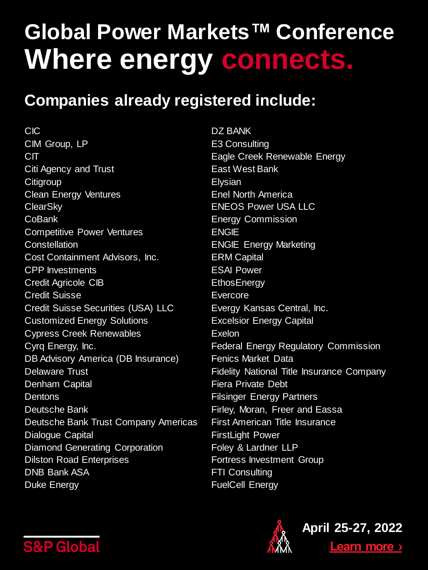#### **Companies already registered include:**

CIC CIM Group, LP CIT Citi Agency and Trust **Citigroup** Clean Energy Ventures **ClearSky CoBank** Competitive Power Ventures **Constellation** Cost Containment Advisors, Inc. CPP Investments Credit Agricole CIB Credit Suisse Credit Suisse Securities (USA) LLC Customized Energy Solutions Cypress Creek Renewables Cyrq Energy, Inc. DB Advisory America (DB Insurance) Delaware Trust Denham Capital **Dentons** Deutsche Bank Deutsche Bank Trust Company Americas Dialogue Capital Diamond Generating Corporation Dilston Road Enterprises DNB Bank ASA Duke Energy

DZ BANK E3 Consulting Eagle Creek Renewable Energy East West Bank **Elysian** Enel North America ENEOS Power USA LLC Energy Commission ENGIE ENGIE Energy Marketing ERM Capital ESAI Power **EthosEnergy** Evercore Evergy Kansas Central, Inc. Excelsior Energy Capital Exelon Federal Energy Regulatory Commission Fenics Market Data Fidelity National Title Insurance Company Fiera Private Debt Filsinger Energy Partners Firley, Moran, Freer and Eassa First American Title Insurance FirstLight Power Foley & Lardner LLP Fortress Investment Group FTI Consulting FuelCell Energy



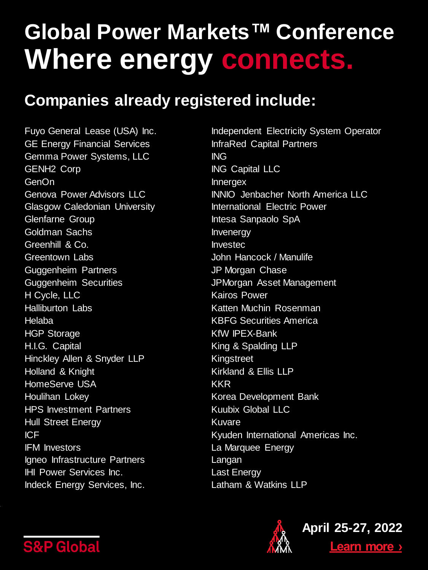#### **Companies already registered include:**

Fuyo General Lease (USA) Inc. GE Energy Financial Services Gemma Power Systems, LLC GENH2 Corp GenOn Genova Power Advisors LLC Glasgow Caledonian University Glenfarne Group Goldman Sachs Greenhill & Co. Greentown Labs Guggenheim Partners Guggenheim Securities H Cycle, LLC Halliburton Labs Helaba HGP Storage H.I.G. Capital Hinckley Allen & Snyder LLP Holland & Knight HomeServe USA Houlihan Lokey HPS Investment Partners Hull Street Energy ICF IFM Investors Igneo Infrastructure Partners IHI Power Services Inc. Indeck Energy Services, Inc.

Independent Electricity System Operator InfraRed Capital Partners ING ING Capital LLC Innergex INNIO Jenbacher North America LLC International Electric Power Intesa Sanpaolo SpA Invenergy Investec John Hancock / Manulife JP Morgan Chase JPMorgan Asset Management Kairos Power Katten Muchin Rosenman KBFG Securities America KfW IPEX-Bank King & Spalding LLP Kingstreet Kirkland & Ellis LLP KKR Korea Development Bank Kuubix Global LLC Kuvare Kyuden International Americas Inc. La Marquee Energy Langan Last Energy Latham & Watkins LLP



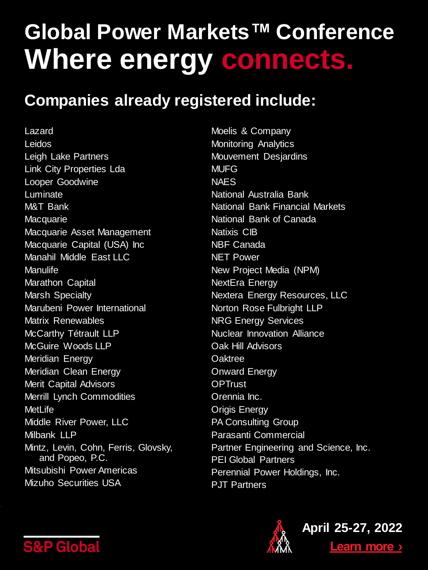#### **Companies already registered include:**

Lazard Leidos Leigh Lake Partners Link City Properties Lda Looper Goodwine Luminate M&T Bank **Macquarie** Macquarie Asset Management Macquarie Capital (USA) Inc Manahil Middle East LLC **Manulife** Marathon Capital Marsh Specialty Marubeni Power International Matrix Renewables McCarthy Tétrault LLP McGuire Woods LLP Meridian Energy Meridian Clean Energy Merit Capital Advisors Merrill Lynch Commodities **MetLife** Middle River Power, LLC Milbank LLP Mintz, Levin, Cohn, Ferris, Glovsky, and Popeo, P.C. Mitsubishi Power Americas Mizuho Securities USA

Moelis & Company Monitoring Analytics Mouvement Desjardins **MUFG NAES** National Australia Bank National Bank Financial Markets National Bank of Canada Natixis CIB NBF Canada NET Power New Project Media (NPM) NextEra Energy Nextera Energy Resources, LLC Norton Rose Fulbright LLP NRG Energy Services Nuclear Innovation Alliance Oak Hill Advisors **Oaktree** Onward Energy **OPTrust** Orennia Inc. Origis Energy PA Consulting Group Parasanti Commercial Partner Engineering and Science, Inc. PEI Global Partners Perennial Power Holdings, Inc. P.JT Partners



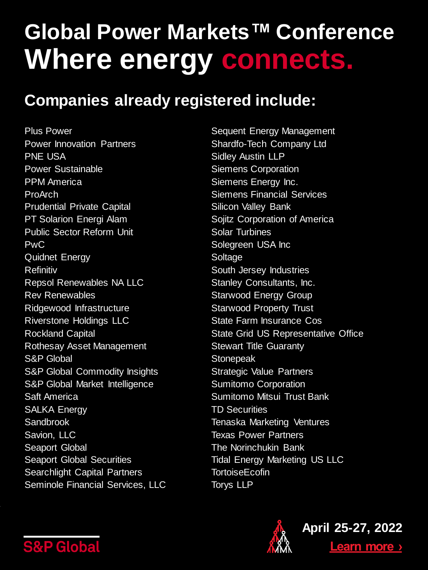#### **Companies already registered include:**

Plus Power Power Innovation Partners PNE USA Power Sustainable PPM America ProArch Prudential Private Capital PT Solarion Energi Alam Public Sector Reform Unit PwC Quidnet Energy Refinitiv Repsol Renewables NA LLC Rev Renewables Ridgewood Infrastructure Riverstone Holdings LLC Rockland Capital Rothesay Asset Management S&P Global S&P Global Commodity Insights S&P Global Market Intelligence Saft America SALKA Energy **Sandbrook** Savion, LLC Seaport Global Seaport Global Securities Searchlight Capital Partners Seminole Financial Services, LLC

Sequent Energy Management Shardfo-Tech Company Ltd Sidley Austin LLP Siemens Corporation Siemens Energy Inc. Siemens Financial Services Silicon Valley Bank Sojitz Corporation of America Solar Turbines Solegreen USA Inc Soltage South Jersey Industries Stanley Consultants, Inc. Starwood Energy Group Starwood Property Trust State Farm Insurance Cos State Grid US Representative Office Stewart Title Guaranty **Stonepeak** Strategic Value Partners Sumitomo Corporation Sumitomo Mitsui Trust Bank TD Securities Tenaska Marketing Ventures Texas Power Partners The Norinchukin Bank Tidal Energy Marketing US LLC **TortoiseEcofin** Torys LLP



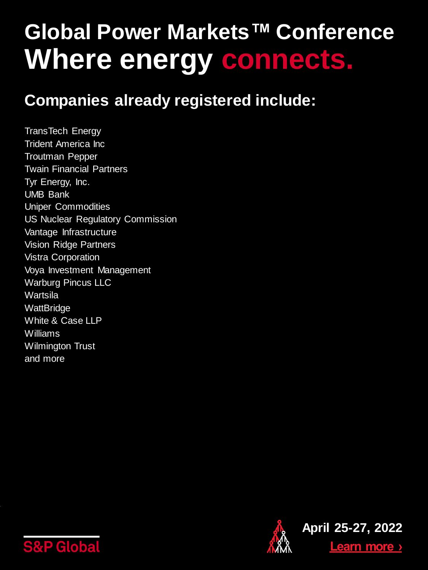#### **Companies already registered include:**

TransTech Energy Trident America Inc Troutman Pepper Twain Financial Partners Tyr Energy, Inc. UMB Bank Uniper Commodities US Nuclear Regulatory Commission Vantage Infrastructure Vision Ridge Partners Vistra Corporation Voya Investment Management Warburg Pincus LLC Wartsila **WattBridge** White & Case LLP Williams Wilmington Trust and more



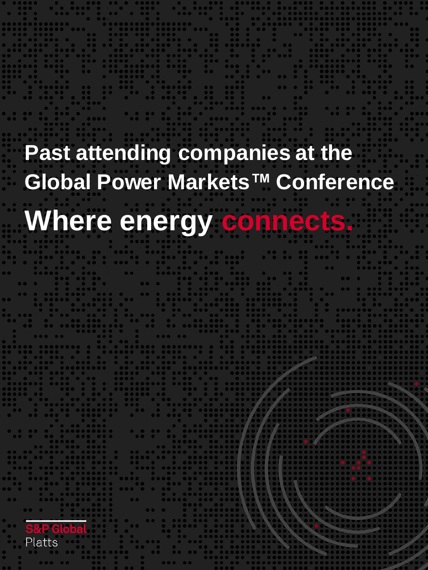# **Past attending companies at the Global Power Markets™ Conference Where energy connects.**

individual slides. Change, turn on or off Data color Complime

Platts

Footer : **Andre text on the footer text on the foot**er text of the footer text of the footer  $\boldsymbol{f}$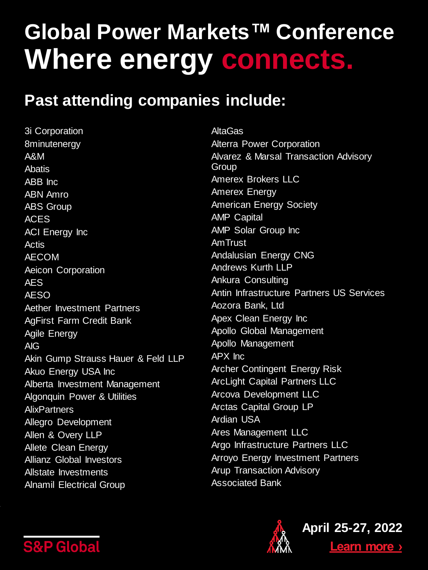#### **Past attending companies include:**

3i Corporation 8minutenergy A&M **Ahatis** ABB Inc ABN Amro ABS Group ACES ACI Energy Inc Actis AECOM Aeicon Corporation AES AESO Aether Investment Partners AgFirst Farm Credit Bank Agile Energy AIG Akin Gump Strauss Hauer & Feld LLP **Akuo Energy USA Inc** Alberta Investment Management Algonquin Power & Utilities **AlixPartners** Allegro Development Allen & Overy LLP Allete Clean Energy Allianz Global Investors Allstate Investments Alnamil Electrical Group

AltaGas Alterra Power Corporation Alvarez & Marsal Transaction Advisory Group Amerex Brokers LLC Amerex Energy American Energy Society AMP Capital AMP Solar Group Inc AmTrust Andalusian Energy CNG Andrews Kurth LLP Ankura Consulting Antin Infrastructure Partners US Services Aozora Bank, Ltd Apex Clean Energy Inc Apollo Global Management Apollo Management APX Inc Archer Contingent Energy Risk ArcLight Capital Partners LLC Arcova Development LLC Arctas Capital Group LP Ardian USA Ares Management LLC Argo Infrastructure Partners LLC Arroyo Energy Investment Partners Arup Transaction Advisory Associated Bank



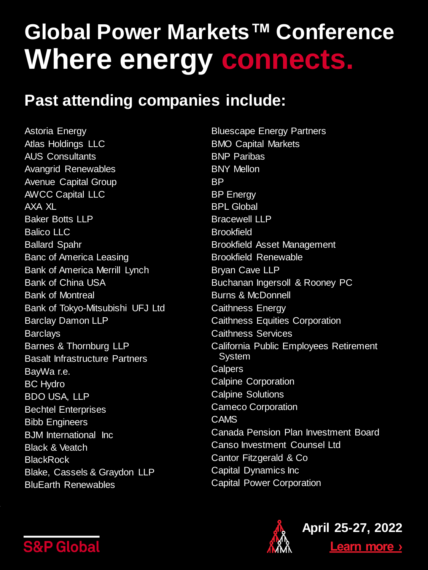#### **Past attending companies include:**

Astoria Energy Atlas Holdings LLC AUS Consultants Avangrid Renewables Avenue Capital Group AWCC Capital LLC AXA XL Baker Botts LLP Balico LLC Ballard Spahr Banc of America Leasing Bank of America Merrill Lynch Bank of China USA Bank of Montreal Bank of Tokyo-Mitsubishi UFJ Ltd Barclay Damon LLP **Barclays** Barnes & Thornburg LLP Basalt Infrastructure Partners BayWa r.e. BC Hydro BDO USA, LLP Bechtel Enterprises Bibb Engineers BJM International Inc Black & Veatch **BlackRock** Blake, Cassels & Graydon LLP BluEarth Renewables

Bluescape Energy Partners BMO Capital Markets BNP Paribas BNY Mellon BP BP Energy BPL Global Bracewell LLP **Brookfield** Brookfield Asset Management Brookfield Renewable Bryan Cave LLP Buchanan Ingersoll & Rooney PC Burns & McDonnell Caithness Energy Caithness Equities Corporation Caithness Services California Public Employees Retirement System **Calpers** Calpine Corporation Calpine Solutions Cameco Corporation CAMS Canada Pension Plan Investment Board Canso Investment Counsel Ltd Cantor Fitzgerald & Co Capital Dynamics Inc Capital Power Corporation



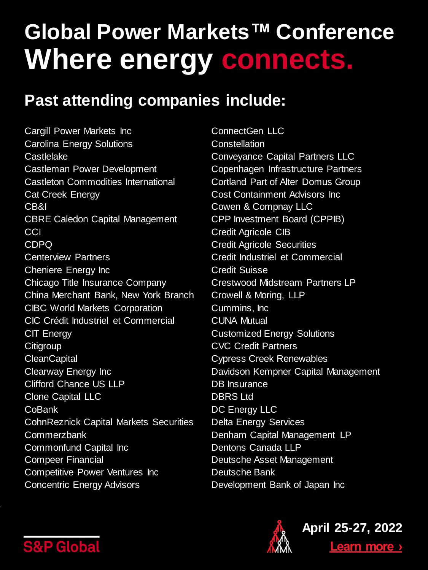#### **Past attending companies include:**

Cargill Power Markets Inc Carolina Energy Solutions **Castlelake** Castleman Power Development Castleton Commodities International Cat Creek Energy CB&I CBRE Caledon Capital Management CCI CDPQ Centerview Partners Cheniere Energy Inc Chicago Title Insurance Company China Merchant Bank, New York Branch CIBC World Markets Corporation CIC Crédit Industriel et Commercial CIT Energy **Citigroup CleanCapital** Clearway Energy Inc Clifford Chance US LLP Clone Capital LLC CoBank CohnReznick Capital Markets Securities **Commerzbank** Commonfund Capital Inc Compeer Financial Competitive Power Ventures Inc Concentric Energy Advisors

ConnectGen LLC **Constellation** Conveyance Capital Partners LLC Copenhagen Infrastructure Partners Cortland Part of Alter Domus Group Cost Containment Advisors Inc Cowen & Compnay LLC CPP Investment Board (CPPIB) Credit Agricole CIB Credit Agricole Securities Credit Industriel et Commercial Credit Suisse Crestwood Midstream Partners LP Crowell & Moring, LLP Cummins, Inc CUNA Mutual Customized Energy Solutions CVC Credit Partners Cypress Creek Renewables Davidson Kempner Capital Management DB Insurance DBRS Ltd DC Energy LLC Delta Energy Services Denham Capital Management LP Dentons Canada LLP Deutsche Asset Management Deutsche Bank Development Bank of Japan Inc



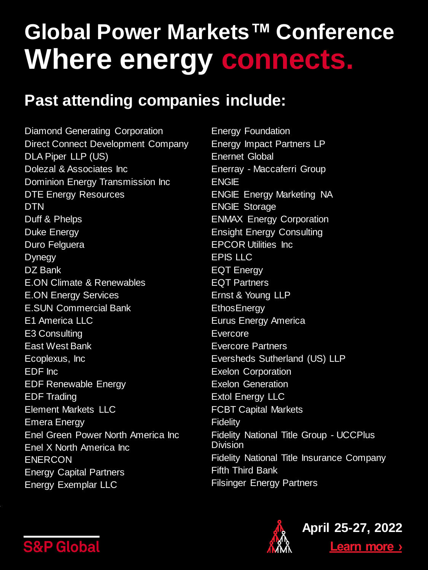#### **Past attending companies include:**

Diamond Generating Corporation Direct Connect Development Company DLA Piper LLP (US) Dolezal & Associates Inc Dominion Energy Transmission Inc DTE Energy Resources DTN Duff & Phelps Duke Energy Duro Felguera Dynegy DZ Bank E.ON Climate & Renewables E.ON Energy Services E.SUN Commercial Bank E1 America LLC E3 Consulting East West Bank Ecoplexus, Inc EDF Inc EDF Renewable Energy EDF Trading Element Markets LLC Emera Energy Enel Green Power North America Inc Enel X North America Inc ENERCON Energy Capital Partners Energy Exemplar LLC

Energy Foundation Energy Impact Partners LP Enernet Global Enerray - Maccaferri Group ENGIE ENGIE Energy Marketing NA ENGIE Storage ENMAX Energy Corporation Ensight Energy Consulting EPCOR Utilities Inc EPIS LLC EQT Energy EQT Partners Ernst & Young LLP **EthosEnergy** Eurus Energy America Evercore Evercore Partners Eversheds Sutherland (US) LLP Exelon Corporation Exelon Generation Extol Energy LLC FCBT Capital Markets Fidelity Fidelity National Title Group - UCCPlus Division Fidelity National Title Insurance Company Fifth Third Bank Filsinger Energy Partners



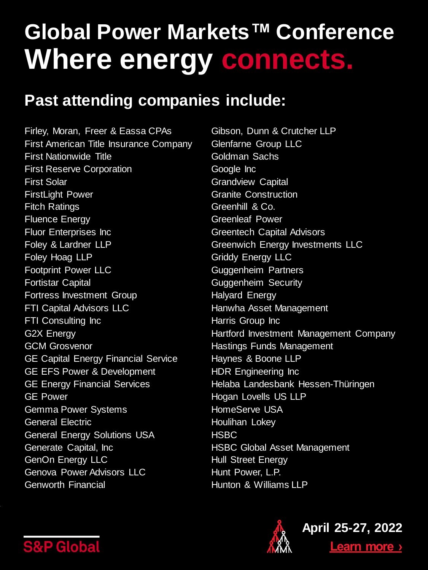#### **Past attending companies include:**

Firley, Moran, Freer & Eassa CPAs First American Title Insurance Company First Nationwide Title First Reserve Corporation First Solar FirstLight Power Fitch Ratings Fluence Energy Fluor Enterprises Inc Foley & Lardner LLP Foley Hoag LLP Footprint Power LLC Fortistar Capital Fortress Investment Group FTI Capital Advisors LLC FTI Consulting Inc G2X Energy GCM Grosvenor GE Capital Energy Financial Service GE EFS Power & Development GE Energy Financial Services GE Power Gemma Power Systems General Electric General Energy Solutions USA Generate Capital, Inc GenOn Energy LLC Genova Power Advisors LLC Genworth Financial

Gibson, Dunn & Crutcher LLP Glenfarne Group LLC Goldman Sachs Google Inc Grandview Capital Granite Construction Greenhill & Co. Greenleaf Power Greentech Capital Advisors Greenwich Energy Investments LLC Griddy Energy LLC Guggenheim Partners Guggenheim Security Halyard Energy Hanwha Asset Management Harris Group Inc Hartford Investment Management Company Hastings Funds Management Haynes & Boone LLP HDR Engineering Inc Helaba Landesbank Hessen-Thüringen Hogan Lovells US LLP HomeServe USA Houlihan Lokey **HSBC** HSBC Global Asset Management Hull Street Energy Hunt Power, L.P. Hunton & Williams LLP



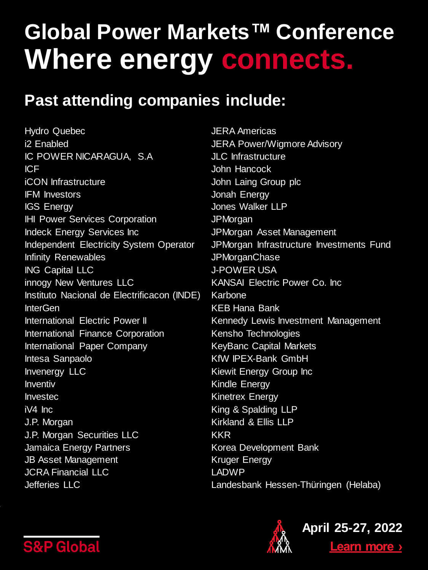#### **Past attending companies include:**

Hydro Quebec i2 Enabled IC POWER NICARAGUA, S.A ICF iCON Infrastructure IFM Investors IGS Energy IHI Power Services Corporation Indeck Energy Services Inc Independent Electricity System Operator Infinity Renewables ING Capital LLC innogy New Ventures LLC Instituto Nacional de Electrificacon (INDE) InterGen International Electric Power II International Finance Corporation International Paper Company Intesa Sanpaolo Invenergy LLC Inventiv Investec iV4 Inc J.P. Morgan J.P. Morgan Securities LLC Jamaica Energy Partners JB Asset Management JCRA Financial LLC Jefferies LLC

JERA Americas JERA Power/Wigmore Advisory JLC Infrastructure John Hancock John Laing Group plc Jonah Energy Jones Walker LLP **JPMorgan** JPMorgan Asset Management JPMorgan Infrastructure Investments Fund JPMorganChase J-POWER USA KANSAI Electric Power Co. Inc Karbone KEB Hana Bank Kennedy Lewis Investment Management Kensho Technologies KeyBanc Capital Markets KfW IPEX-Bank GmbH Kiewit Energy Group Inc Kindle Energy Kinetrex Energy King & Spalding LLP Kirkland & Ellis LLP KKR Korea Development Bank Kruger Energy LADWP Landesbank Hessen-Thüringen (Helaba)



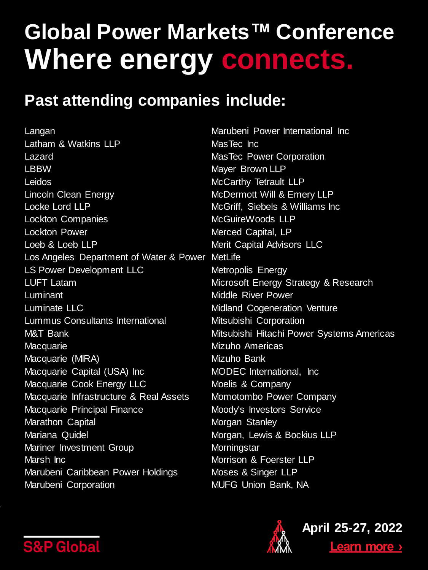#### **Past attending companies include:**

Langan Latham & Watkins LLP Lazard **LBBW** Leidos Lincoln Clean Energy Locke Lord LLP Lockton Companies Lockton Power Loeb & Loeb LLP Los Angeles Department of Water & Power MetLife LS Power Development LLC LUFT Latam Luminant Luminate LLC Lummus Consultants International M&T Bank **Macquarie** Macquarie (MIRA) Macquarie Capital (USA) Inc Macquarie Cook Energy LLC Macquarie Infrastructure & Real Assets Macquarie Principal Finance Marathon Capital Mariana Quidel Mariner Investment Group Marsh Inc Marubeni Caribbean Power Holdings Marubeni Corporation

Marubeni Power International Inc MasTec Inc MasTec Power Corporation Mayer Brown LLP McCarthy Tetrault LLP McDermott Will & Emery LLP McGriff, Siebels & Williams Inc McGuireWoods LLP Merced Capital, LP Merit Capital Advisors LLC Metropolis Energy Microsoft Energy Strategy & Research Middle River Power Midland Cogeneration Venture Mitsubishi Corporation Mitsubishi Hitachi Power Systems Americas Mizuho Americas Mizuho Bank MODEC International, Inc Moelis & Company Momotombo Power Company Moody's Investors Service Morgan Stanley Morgan, Lewis & Bockius LLP **Morningstar** Morrison & Foerster LLP Moses & Singer LLP MUFG Union Bank, NA



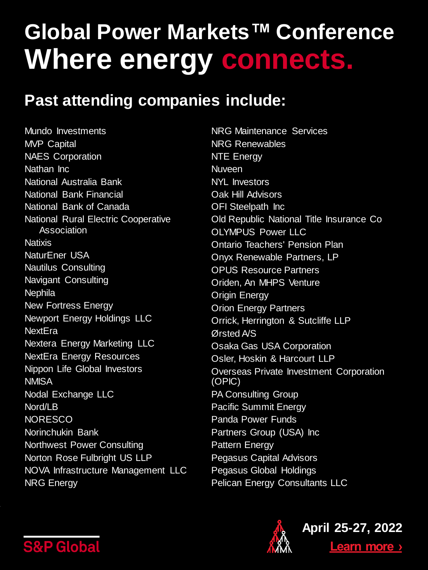#### **Past attending companies include:**

Mundo Investments MVP Capital NAES Corporation Nathan Inc National Australia Bank National Bank Financial National Bank of Canada National Rural Electric Cooperative Association **Natixis** NaturEner USA Nautilus Consulting Navigant Consulting **Nephila** New Fortress Energy Newport Energy Holdings LLC **NextEra** Nextera Energy Marketing LLC NextEra Energy Resources Nippon Life Global Investors **NMISA** Nodal Exchange LLC Nord/LB **NORESCO** Norinchukin Bank Northwest Power Consulting Norton Rose Fulbright US LLP NOVA Infrastructure Management LLC NRG Energy

NRG Maintenance Services NRG Renewables NTE Energy **Nuveen** NYL Investors Oak Hill Advisors **OFI** Steelpath Inc Old Republic National Title Insurance Co OLYMPUS Power LLC Ontario Teachers' Pension Plan Onyx Renewable Partners, LP OPUS Resource Partners Oriden, An MHPS Venture Origin Energy **Orion Energy Partners** Orrick, Herrington & Sutcliffe LLP Ørsted A/S Osaka Gas USA Corporation Osler, Hoskin & Harcourt LLP Overseas Private Investment Corporation (OPIC) **PA Consulting Group** Pacific Summit Energy Panda Power Funds Partners Group (USA) Inc Pattern Energy Pegasus Capital Advisors Pegasus Global Holdings Pelican Energy Consultants LLC



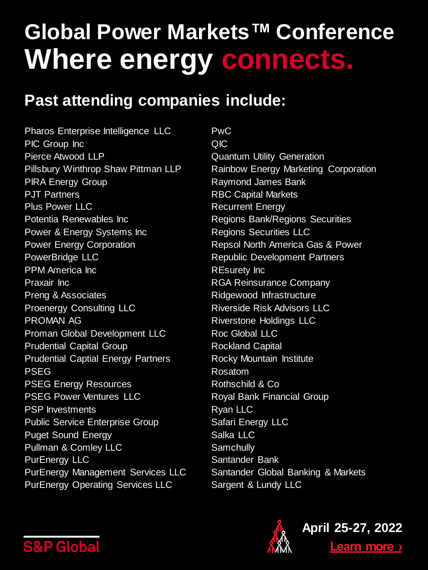#### **Past attending companies include:**

Pharos Enterprise Intelligence LLC PIC Group Inc Pierce Atwood LLP Pillsbury Winthrop Shaw Pittman LLP PIRA Energy Group PJT Partners Plus Power LLC Potentia Renewables Inc Power & Energy Systems Inc Power Energy Corporation PowerBridge LLC PPM America Inc Praxair Inc Preng & Associates Proenergy Consulting LLC PROMAN AG Proman Global Development LLC Prudential Capital Group Prudential Captial Energy Partners PSEG PSEG Energy Resources PSEG Power Ventures LLC PSP Investments Public Service Enterprise Group Puget Sound Energy Pullman & Comley LLC PurEnergy LLC PurEnergy Management Services LLC PurEnergy Operating Services LLC

PwC QIC Quantum Utility Generation Rainbow Energy Marketing Corporation Raymond James Bank RBC Capital Markets Recurrent Energy Regions Bank/Regions Securities Regions Securities LLC Repsol North America Gas & Power Republic Development Partners REsurety Inc RGA Reinsurance Company Ridgewood Infrastructure Riverside Risk Advisors LLC Riverstone Holdings LLC Roc Global LLC Rockland Capital Rocky Mountain Institute Rosatom Rothschild & Co Royal Bank Financial Group Ryan LLC Safari Energy LLC Salka LLC **Samchully** Santander Bank Santander Global Banking & Markets Sargent & Lundy LLC



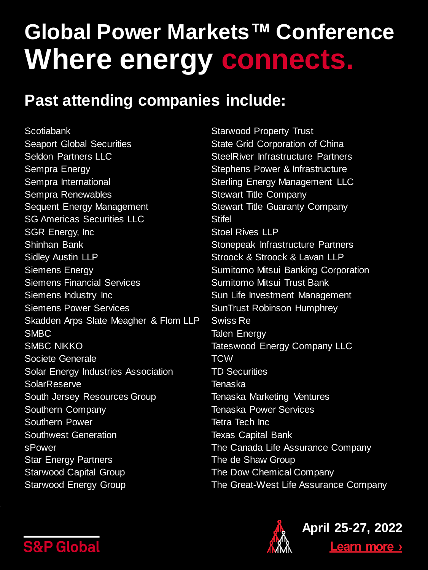#### **Past attending companies include:**

Scotiabank Seaport Global Securities Seldon Partners LLC Sempra Energy Sempra International Sempra Renewables Sequent Energy Management SG Americas Securities LLC SGR Energy, Inc Shinhan Bank Sidley Austin LLP Siemens Energy Siemens Financial Services Siemens Industry Inc Siemens Power Services Skadden Arps Slate Meagher & Flom LLP SMBC SMBC NIKKO Societe Generale Solar Energy Industries Association **SolarReserve** South Jersey Resources Group Southern Company Southern Power Southwest Generation sPower Star Energy Partners Starwood Capital Group Starwood Energy Group

Starwood Property Trust State Grid Corporation of China SteelRiver Infrastructure Partners Stephens Power & Infrastructure Sterling Energy Management LLC Stewart Title Company Stewart Title Guaranty Company **Stifel** Stoel Rives LLP Stonepeak Infrastructure Partners Stroock & Stroock & Lavan LLP Sumitomo Mitsui Banking Corporation Sumitomo Mitsui Trust Bank Sun Life Investment Management SunTrust Robinson Humphrey Swiss Re Talen Energy Tateswood Energy Company LLC **TCW** TD Securities Tenaska Tenaska Marketing Ventures Tenaska Power Services Tetra Tech Inc Texas Capital Bank The Canada Life Assurance Company The de Shaw Group The Dow Chemical Company The Great-West Life Assurance Company